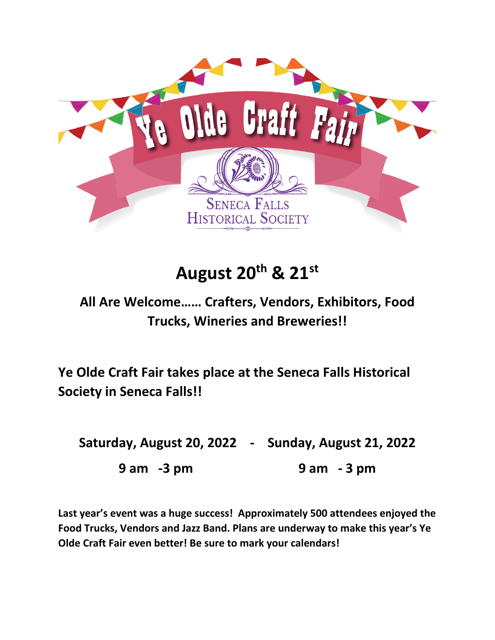

## **August 20th & 21st**

## **All Are Welcome…… Crafters, Vendors, Exhibitors, Food Trucks, Wineries and Breweries!!**

**Ye Olde Craft Fair takes place at the Seneca Falls Historical Society in Seneca Falls!!**

**Saturday, August 20, 2022 - Sunday, August 21, 2022 9 am -3 pm 9 am - 3 pm**

**Last year's event was a huge success! Approximately 500 attendees enjoyed the Food Trucks, Vendors and Jazz Band. Plans are underway to make this year's Ye Olde Craft Fair even better! Be sure to mark your calendars!**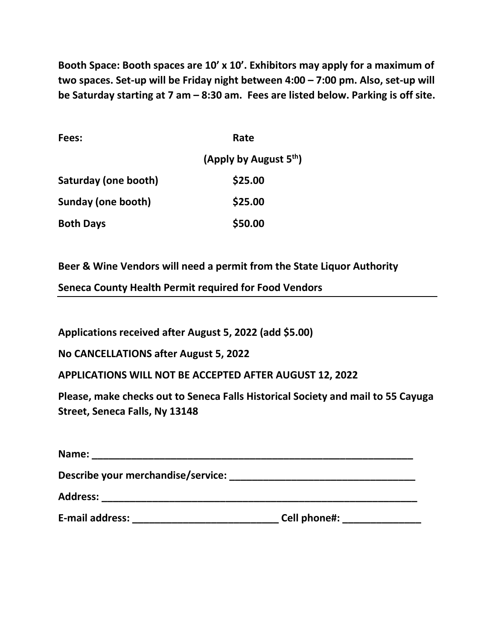**Booth Space: Booth spaces are 10' x 10'. Exhibitors may apply for a maximum of two spaces. Set-up will be Friday night between 4:00 – 7:00 pm. Also, set-up will be Saturday starting at 7 am – 8:30 am. Fees are listed below. Parking is off site.** 

| Fees:                | Rate                               |  |  |
|----------------------|------------------------------------|--|--|
|                      | (Apply by August 5 <sup>th</sup> ) |  |  |
| Saturday (one booth) | \$25.00                            |  |  |
| Sunday (one booth)   | \$25.00                            |  |  |
| <b>Both Days</b>     | \$50.00                            |  |  |

**Beer & Wine Vendors will need a permit from the State Liquor Authority**

**Seneca County Health Permit required for Food Vendors**

**Applications received after August 5, 2022 (add \$5.00)** 

**No CANCELLATIONS after August 5, 2022** 

**APPLICATIONS WILL NOT BE ACCEPTED AFTER AUGUST 12, 2022**

**Please, make checks out to Seneca Falls Historical Society and mail to 55 Cayuga Street, Seneca Falls, Ny 13148**

| Name:                              |              |  |
|------------------------------------|--------------|--|
| Describe your merchandise/service: |              |  |
| <b>Address:</b>                    |              |  |
| <b>E-mail address:</b>             | Cell phone#: |  |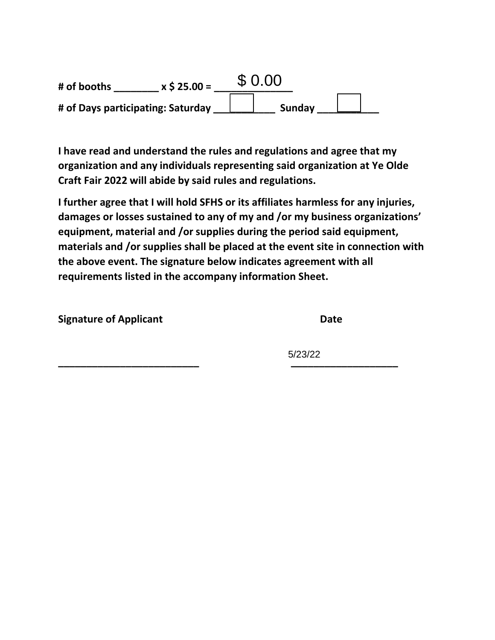| # of booths                       | $x$ \$ 25.00 = | \$0.00 |        |  |
|-----------------------------------|----------------|--------|--------|--|
| # of Days participating: Saturday |                |        | Sunday |  |

**I have read and understand the rules and regulations and agree that my organization and any individuals representing said organization at Ye Olde Craft Fair 2022 will abide by said rules and regulations.** 

**I further agree that I will hold SFHS or its affiliates harmless for any injuries, damages or losses sustained to any of my and /or my business organizations' equipment, material and /or supplies during the period said equipment, materials and /or supplies shall be placed at the event site in connection with the above event. The signature below indicates agreement with all requirements listed in the accompany information Sheet.** 

**Signature of Applicant Date** 

**\_\_\_\_\_\_\_\_\_\_\_\_\_\_\_\_\_\_\_\_\_\_\_\_\_ \_\_\_\_\_\_\_\_\_\_\_\_\_\_\_\_\_\_\_** 5/23/22